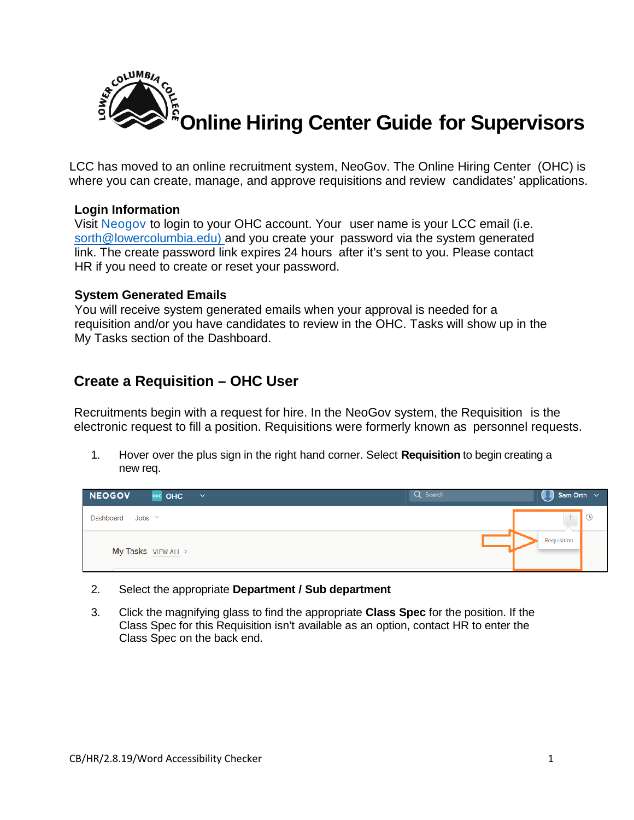

LCC has moved to an online recruitment system, NeoGov. The Online Hiring Center (OHC) is where you can create, manage, and approve requisitions and review candidates' applications.

### **Login Information**

Visit [Neogov](https://login.neogov.com/Signin?siteCode=IN&) to login to your OHC account. Your user name is your LCC email (i.e. sorth@lowercolumbia.edu) and you create your password via the system generated link. The create password link expires 24 hours after it's sent to you. Please contact HR if you need to create or reset your password.

#### **System Generated Emails**

You will receive system generated emails when your approval is needed for a requisition and/or you have candidates to review in the OHC. Tasks will show up in the My Tasks section of the Dashboard.

## **Create a Requisition – OHC User**

Recruitments begin with a request for hire. In the NeoGov system, the Requisition is the electronic request to fill a position. Requisitions were formerly known as personnel requests.

1. Hover over the plus sign in the right hand corner. Select **Requisition** to begin creating a new req.



#### 2. Select the appropriate **Department / Sub department**

3. Click the magnifying glass to find the appropriate **Class Spec** for the position. If the Class Spec for this Requisition isn't available as an option, contact HR to enter the Class Spec on the back end.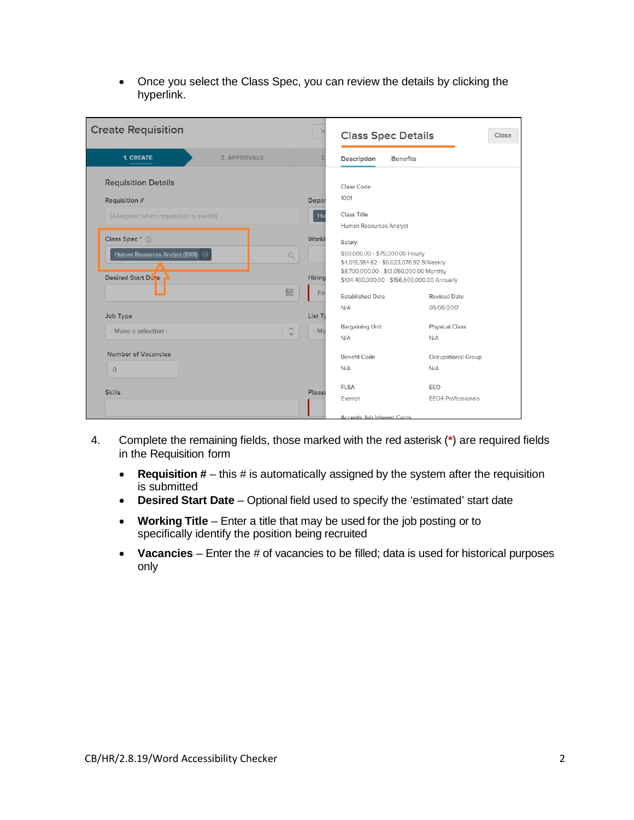• Once you select the Class Spec, you can review the details by clicking the hyperlink.

| <b>Create Requisition</b>               |                       |         | <b>Class Spec Details</b>                                                                |                     | Close |
|-----------------------------------------|-----------------------|---------|------------------------------------------------------------------------------------------|---------------------|-------|
| <b>1. CREATE</b><br><b>2. APPROVALS</b> |                       |         | Description<br><b>Benefits</b>                                                           |                     |       |
| <b>Requisition Details</b>              |                       |         | Class Code                                                                               |                     |       |
| Requisition #                           |                       | Depar   | 1001                                                                                     |                     |       |
| [Assigned when requisition is saved]    |                       | Hu      | Class Title<br>Human Resources Analyst                                                   |                     |       |
| Class Spec* (i)                         |                       | Worki   | Salary                                                                                   |                     |       |
| Human Resources Analyst (1001) 3        | Q                     |         | \$50,000.00 - \$75,000.00 Hourly<br>\$4,015,384.62 - \$6,023,076.92 BiWeekly             |                     |       |
| Desired Start Dese                      |                       | Hiring  | \$8,700,000.00 - \$13,050,000.00 Monthly<br>\$104,400,000.00 - \$156,600,000.00 Annually |                     |       |
|                                         | 圖                     | Fin     | <b>Established Date</b>                                                                  | <b>Revised Date</b> |       |
| Job Type                                |                       | List Ty | N/A                                                                                      | 05/05/2017          |       |
| - Make a selection -                    | $\boldsymbol{\wedge}$ | $-Ma$   | <b>Bargaining Unit</b>                                                                   | Physical Class      |       |
|                                         | $\checkmark$          |         | N/A                                                                                      | N/A                 |       |
| Number of Vacancies                     |                       |         | <b>Benefit Code</b>                                                                      | Occupational Group  |       |
| $\circ$                                 |                       |         | N/A                                                                                      | N/A                 |       |
|                                         |                       |         | <b>FLSA</b>                                                                              | EEO                 |       |
| <b>Skills</b>                           |                       | Please  | Exempt                                                                                   | EEO4-Professionals  |       |
|                                         |                       |         | Accepts, Job Interest Cards                                                              |                     |       |

- 4. Complete the remaining fields, those marked with the red asterisk (**\***) are required fields in the Requisition form
	- **Requisition #** this # is automatically assigned by the system after the requisition is submitted
	- **Desired Start Date** Optional field used to specify the 'estimated' start date
	- **Working Title** Enter a title that may be used for the job posting or to specifically identify the position being recruited
	- **Vacancies** Enter the # of vacancies to be filled; data is used for historical purposes only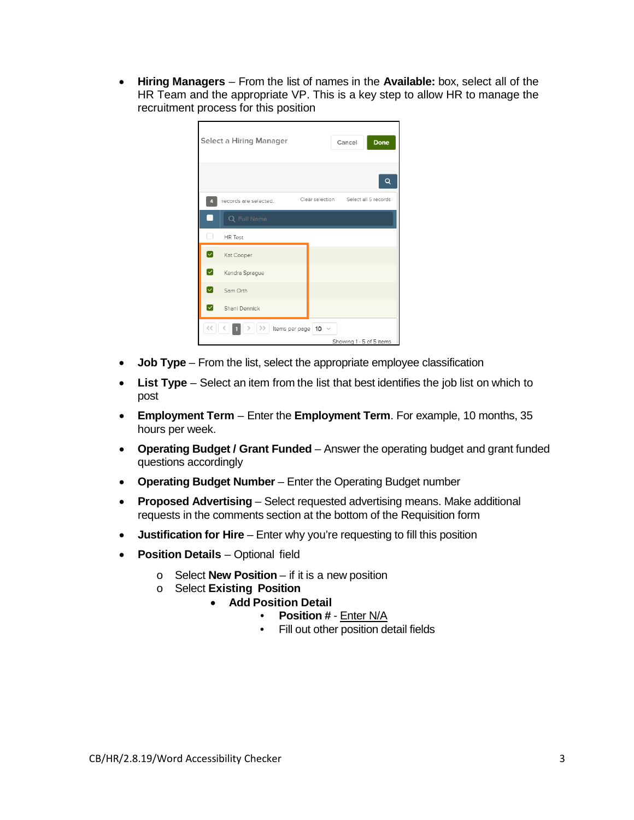• **Hiring Managers** – From the list of names in the **Available:** box, select all of the HR Team and the appropriate VP. This is a key step to allow HR to manage the recruitment process for this position

| Select a Hiring Manager                       | Done<br>Cancel                       |
|-----------------------------------------------|--------------------------------------|
|                                               | Q                                    |
| records are selected.<br>4                    | Clear selection Select all 5 records |
| Q Full Name<br>г                              |                                      |
| □<br><b>HR</b> Test                           |                                      |
| ☑<br>Kat Cooper                               |                                      |
| $\sim$<br>Kendra Sprague                      |                                      |
| $\blacktriangledown$<br>Sam Orth              |                                      |
| $\lbrack \downarrow \rbrack$<br>Shani Dennick |                                      |
| $\prec$<br>$\rightarrow$                      | Items per page   10 $\sim$           |
|                                               | Showing 1 - 5 of 5 items             |

- **Job Type** From the list, select the appropriate employee classification
- **List Type** Select an item from the list that best identifies the job list on which to post
- **Employment Term**  Enter the **Employment Term**. For example, 10 months, 35 hours per week.
- **Operating Budget / Grant Funded** Answer the operating budget and grant funded questions accordingly
- **Operating Budget Number** Enter the Operating Budget number
- **Proposed Advertising** Select requested advertising means. Make additional requests in the comments section at the bottom of the Requisition form
- **Justification for Hire** Enter why you're requesting to fill this position
- **Position Details** Optional field
	- o Select **New Position** if it is a new position
	- o Select **Existing Position**
		- **Add Position Detail**
			- **Position #** Enter N/A
			- Fill out other position detail fields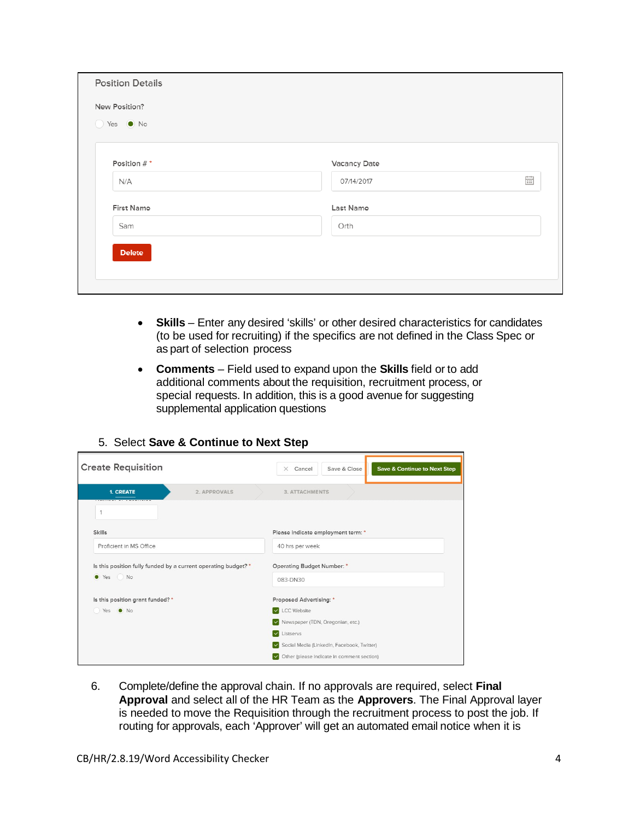| ◯ Yes ● No        |              |                 |
|-------------------|--------------|-----------------|
| Position #*       | Vacancy Date |                 |
| N/A               | 07/14/2017   | $\frac{1}{111}$ |
| <b>First Name</b> | Last Name    |                 |
| Sam               | Orth         |                 |

- **Skills** Enter any desired 'skills' or other desired characteristics for candidates (to be used for recruiting) if the specifics are not defined in the Class Spec or as part of selection process
- **Comments**  Field used to expand upon the **Skills** field or to add additional comments about the requisition, recruitment process, or special requests. In addition, this is a good avenue for suggesting supplemental application questions

| <b>Create Requisition</b>                                      |              | Save & Close<br><b>Save &amp; Continue to Next Step</b><br>Cancel<br>$\times$ |
|----------------------------------------------------------------|--------------|-------------------------------------------------------------------------------|
| <b>1. CREATE</b>                                               | 2. APPROVALS | <b>3. ATTACHMENTS</b>                                                         |
| 1                                                              |              |                                                                               |
| <b>Skills</b>                                                  |              | Please indicate employment term: *                                            |
| Proficient in MS Office                                        |              | 40 hrs per week                                                               |
| Is this position fully funded by a current operating budget? * |              | Operating Budget Number: *                                                    |
| ● Yes ● No                                                     |              | 083-DN30                                                                      |
| Is this position grant funded? *                               |              | Proposed Advertising: *                                                       |
| Yes ONO                                                        |              | <b>V</b> LCC Website                                                          |
|                                                                |              | V Newspaper (TDN, Oregonian, etc.)                                            |
|                                                                |              | $\sim$<br>Listservs                                                           |
|                                                                |              | Social Media (LinkedIn, Facebook, Twitter)                                    |
|                                                                |              | Other (please indicate in comment section)<br>$\sim$                          |

### 5. Select **Save & Continue to Next Step**

6. Complete/define the approval chain. If no approvals are required, select **Final Approval** and select all of the HR Team as the **Approvers**. The Final Approval layer is needed to move the Requisition through the recruitment process to post the job. If routing for approvals, each 'Approver' will get an automated email notice when it is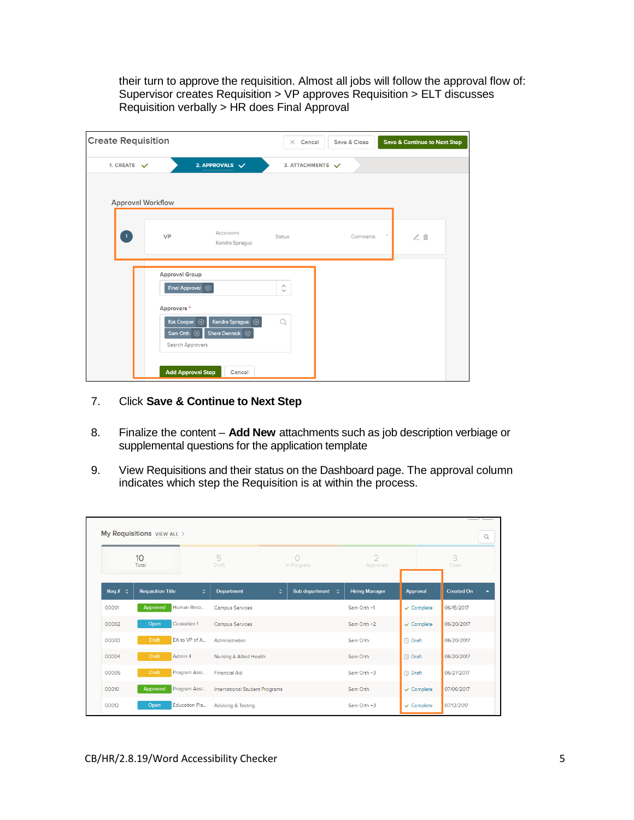their turn to approve the requisition. Almost all jobs will follow the approval flow of: Supervisor creates Requisition > VP approves Requisition > ELT discusses Requisition verbally > HR does Final Approval

| <b>Create Requisition</b> |                                  |                                                                                   | $\times$ Cancel                         | Save & Close | <b>Save &amp; Continue to Next Step</b> |
|---------------------------|----------------------------------|-----------------------------------------------------------------------------------|-----------------------------------------|--------------|-----------------------------------------|
| 1. CREATE $\checkmark$    |                                  | 2. APPROVALS $\sqrt{}$                                                            | 3. ATTACHMENTS V                        |              |                                         |
|                           | <b>Approval Workflow</b>         |                                                                                   |                                         |              |                                         |
| $\boxed{1}$               | VP                               | Approvers<br>Kendra Sprague                                                       | Status                                  | Comments     | $\angle$ 0                              |
|                           | Approval Group                   | Final Approval 8                                                                  | $\widehat{\phantom{a}}$<br>$\checkmark$ |              |                                         |
|                           | Approvers*<br>Sam Orth $\otimes$ | Kendra Sprague $\otimes$<br>Kat Cooper (x)<br>Shani Dennick 8<br>Search Approvers | $\Omega$                                |              |                                         |
|                           |                                  | <b>Add Approval Step</b><br>Cancel                                                |                                         |              |                                         |

- 7. Click **Save & Continue to Next Step**
- 8. Finalize the content **Add New** attachments such as job description verbiage or supplemental questions for the application template
- 9. View Requisitions and their status on the Dashboard page. The approval column indicates which step the Requisition is at within the process.

|                     | My Requisitions VIEW ALL >    |                                       |   |                           |                            |                       |                   | Q |
|---------------------|-------------------------------|---------------------------------------|---|---------------------------|----------------------------|-----------------------|-------------------|---|
|                     | 10<br>Total                   | 5<br>Draft                            |   | $\bigcirc$<br>In-Progress | $\overline{2}$<br>Approved |                       | 3<br>Open         |   |
| Req # $\Rightarrow$ | ÷<br><b>Requisition Title</b> | Department                            | ÷ | Sub department<br>٠       | <b>Hiring Manager</b>      | <b>Approval</b>       | <b>Created On</b> | ▴ |
| 00001               | Approved<br>Human Reso        | <b>Campus Services</b>                |   |                           | Sam Orth +1                | $\checkmark$ Complete | 06/15/2017        |   |
| 00002               | Custodian 1<br>Open           | <b>Campus Services</b>                |   |                           | Sam Orth $+2$              | $\checkmark$ Complete | 06/20/2017        |   |
| 00003               | <b>Draft</b><br>EA to VP of A | Administration                        |   |                           | Sam Orth                   | (4) Draft             | 06/20/2017        |   |
| 00004               | Draft<br>Admin 4              | Nursing & Allied Health               |   |                           | Sam Orth                   | (4) Draft             | 06/20/2017        |   |
| 00005               | <b>Draft</b><br>Program Assi  | <b>Financial Aid</b>                  |   |                           | Sam Orth +3                | <b>O</b> Draft        | 06/27/2017        |   |
| 00010               | Program Assi<br>Approved      | <b>International Student Programs</b> |   |                           | Sam Orth                   | $\checkmark$ Complete | 07/06/2017        |   |
| 00012               | Education Pla<br>Open         | <b>Advising &amp; Testing</b>         |   |                           | Sam Orth $+3$              | $\checkmark$ Complete | 07/12/2017        |   |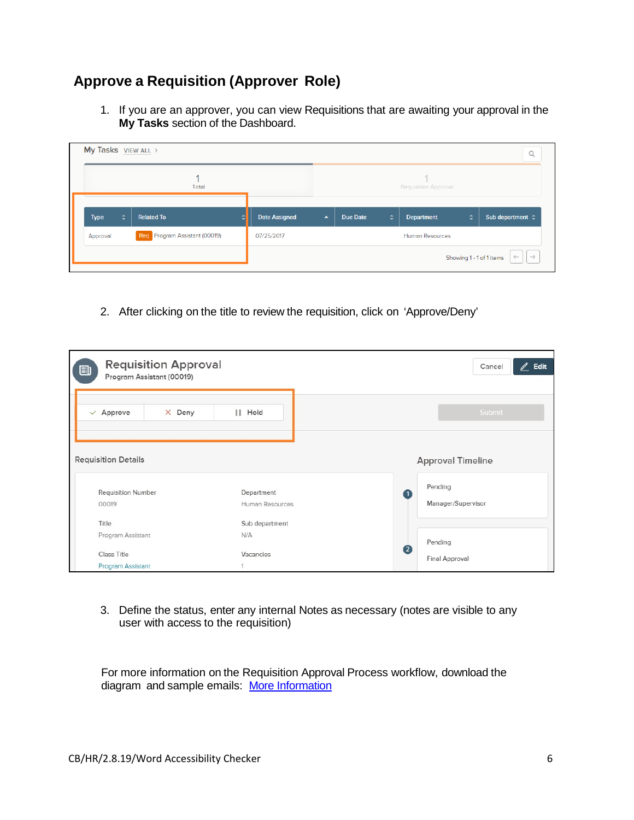# **Approve a Requisition (Approver Role)**

1. If you are an approver, you can view Requisitions that are awaiting your approval in the **My Tasks** section of the Dashboard.

| My Tasks VIEW ALL >                       |                      |                  |                 |   |                        |   | $\alpha$                                                  |
|-------------------------------------------|----------------------|------------------|-----------------|---|------------------------|---|-----------------------------------------------------------|
| Total                                     |                      |                  |                 |   | Requisition Approval   |   |                                                           |
| ÷<br><b>Related To</b><br><b>Type</b>     | <b>Date Assigned</b> | $\blacktriangle$ | <b>Due Date</b> | ÷ | <b>Department</b>      | ÷ | Sub department $\Leftrightarrow$                          |
| Req Program Assistant (00019)<br>Approval | 07/25/2017           |                  |                 |   | <b>Human Resources</b> |   |                                                           |
|                                           |                      |                  |                 |   |                        |   | $\leftarrow$<br>$\rightarrow$<br>Showing 1 - 1 of 1 items |

2. After clicking on the title to review the requisition, click on 'Approve/Deny'

| <b>Requisition Approval</b><br>Ð<br>Program Assistant (00019) |                 | $\mathbb{Z}$ Edit<br>Cancel |
|---------------------------------------------------------------|-----------------|-----------------------------|
| $\times$ Deny<br>$\vee$ Approve                               | II Hold         | Submit                      |
| <b>Requisition Details</b>                                    |                 | <b>Approval Timeline</b>    |
| <b>Requisition Number</b>                                     | Department      | Pending<br>$\mathbf{I}$     |
| 00019                                                         | Human Resources | Manager/Supervisor          |
| Title                                                         | Sub department  |                             |
| Program Assistant                                             | N/A             | Pending                     |
| Class Title                                                   | Vacancies       | $\overline{2}$              |
| Program Assistant                                             |                 | Final Approval              |

3. Define the status, enter any internal Notes as necessary (notes are visible to any user with access to the requisition)

For more information on the Requisition Approval Process workflow, download the diagram and sample emails: [More Information](http://community.neogov.com/media/p/1047.aspx)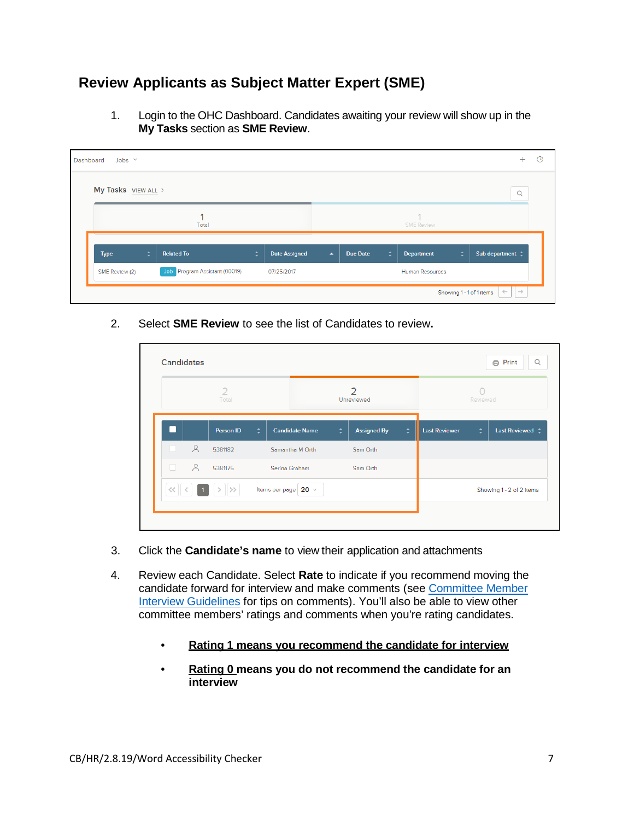# **Review Applicants as Subject Matter Expert (SME)**

1. Login to the OHC Dashboard. Candidates awaiting your review will show up in the **My Tasks** section as **SME Review**.

| Dashboard | Jobs $\vee$         |   |                               |   |                      |                  |                 |   |                        |   | $^+$                                                      | $\odot$ |
|-----------|---------------------|---|-------------------------------|---|----------------------|------------------|-----------------|---|------------------------|---|-----------------------------------------------------------|---------|
|           | My Tasks VIEW ALL > |   |                               |   |                      |                  |                 |   |                        |   | $\mathsf Q$                                               |         |
|           |                     |   | Total                         |   |                      |                  |                 |   | <b>SME Review</b>      |   |                                                           |         |
|           | <b>Type</b>         | ÷ | <b>Related To</b>             | ÷ | <b>Date Assigned</b> | $\blacktriangle$ | <b>Due Date</b> | ÷ | <b>Department</b>      | ÷ | Sub department $\Leftrightarrow$                          |         |
|           | SME Review (2)      |   | Job Program Assistant (00019) |   | 07/25/2017           |                  |                 |   | <b>Human Resources</b> |   |                                                           |         |
|           |                     |   |                               |   |                      |                  |                 |   |                        |   | $\leftarrow$<br>$\rightarrow$<br>Showing 1 - 1 of 1 items |         |

2. Select **SME Review** to see the list of Candidates to review**.**

|                          |         | $\mathcal{D}$<br>Total |   |                       |   | $\mathbf{Z}$<br>Unreviewed |        |                      | $\left( \begin{array}{c} 1 \end{array} \right)$<br>Reviewed |                                 |  |  |
|--------------------------|---------|------------------------|---|-----------------------|---|----------------------------|--------|----------------------|-------------------------------------------------------------|---------------------------------|--|--|
| $\overline{\phantom{a}}$ |         | Person ID              | ÷ | <b>Candidate Name</b> | ÷ | <b>Assigned By</b>         | $\div$ | <b>Last Reviewer</b> | ÷                                                           | Last Reviewed $\Leftrightarrow$ |  |  |
| n.                       | $\beta$ | 5381182                |   | Samantha M Orth       |   | Sam Orth                   |        |                      |                                                             |                                 |  |  |
| n                        | 8       | 5381175                |   | Serina Graham         |   |                            |        | Sam Orth             |                                                             |                                 |  |  |
| $<<$                     |         |                        |   | Items per page 20 v   |   |                            |        |                      |                                                             | Showing 1 - 2 of 2 items        |  |  |

- 3. Click the **Candidate's name** to view their application and attachments
- 4. Review each Candidate. Select **Rate** to indicate if you recommend moving the candidate forward for interview and make comments (see [Committee Member](http://internal.lowercolumbia.edu/departments/human-resources/_assets/documents/CommitteeMemberInterviewGuidelines.pdf)  [Interview Guidelines](http://internal.lowercolumbia.edu/departments/human-resources/_assets/documents/CommitteeMemberInterviewGuidelines.pdf) for tips on comments). You'll also be able to view other committee members' ratings and comments when you're rating candidates.
	- **Rating 1 means you recommend the candidate for interview**
	- **Rating 0 means you do not recommend the candidate for an interview**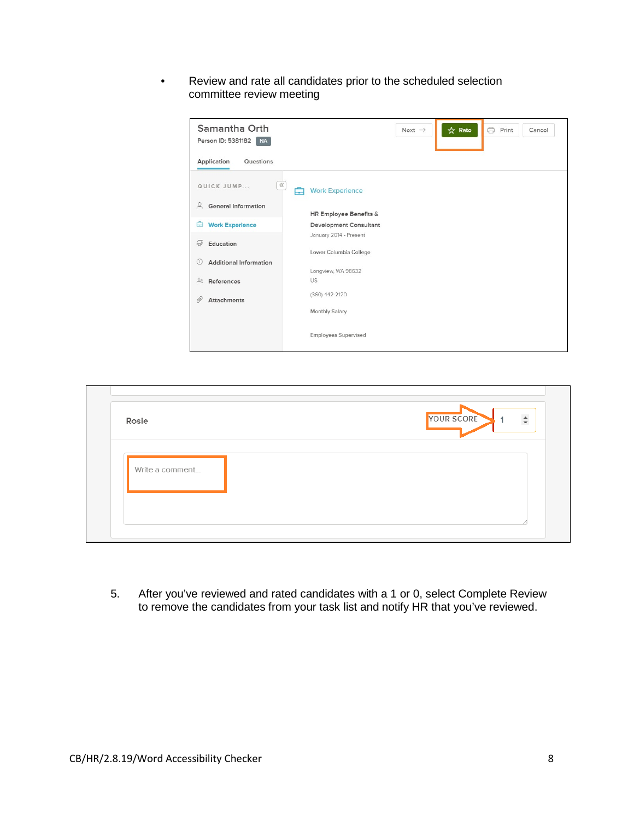• Review and rate all candidates prior to the scheduled selection committee review meeting

| Samantha Orth<br>Person ID: 5381182<br><b>NA</b> | 6<br>☆ Rate<br>Print<br>Next $\rightarrow$<br>Cancel |
|--------------------------------------------------|------------------------------------------------------|
| Application<br>Questions                         |                                                      |
| $\ll$<br>QUICK JUMP                              | <b>Work Experience</b>                               |
| $\beta$<br><b>General Information</b>            | HR Employee Benefits &                               |
| Ĥ<br><b>Work Experience</b>                      | <b>Development Consultant</b>                        |
| Education<br>$\omega$                            | January 2014 - Present<br>Lower Columbia College     |
| <b>Additional Information</b><br>(i)             | Longview, WA 98632                                   |
| 28<br>References                                 | US                                                   |
| 19<br><b>Attachments</b>                         | (360) 442-2120                                       |
|                                                  | Monthly Salary                                       |
|                                                  | <b>Employees Supervised</b>                          |

| Rosie           | $\div$<br>YOUR SCORE |
|-----------------|----------------------|
| Write a comment |                      |
|                 |                      |

5. After you've reviewed and rated candidates with a 1 or 0, select Complete Review to remove the candidates from your task list and notify HR that you've reviewed.